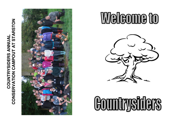## STARSTON **CONSERVATION CAMPOUT AT STARSTONCOUNTRYSIDERS ANNUAL**  COUNTRYSIDERS ANNUAI  $\overline{A}$ CONSERVATION CAMPOUT



# Welcome to